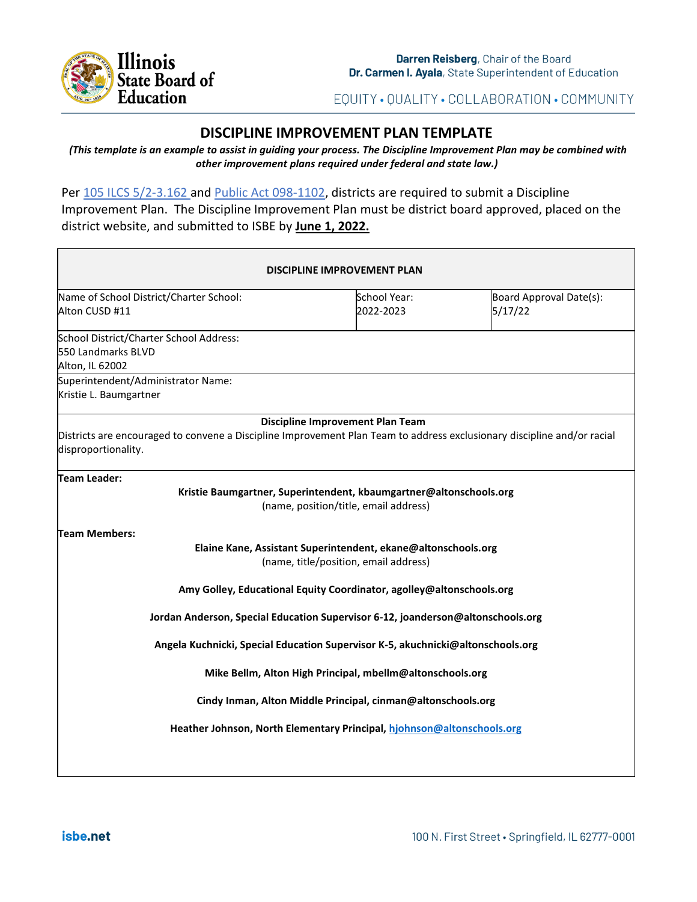

EQUITY · QUALITY · COLLABORATION · COMMUNITY

# **DISCIPLINE IMPROVEMENT PLAN TEMPLATE**

*(This template is an example to assist in guiding your process. The Discipline Improvement Plan may be combined with other improvement plans required under federal and state law.)*

Per [105 ILCS 5/2-3.162](https://www.ilga.gov/legislation/ilcs/fulltext.asp?DocName=010500050K2-3.162#:~:text=2%2D3.162.,report%3B%20school%20discipline%20improvement%20plan.&text=This%20report%20shall%20include%20data,the%20State%20Board%20of%20Education.) and Public Act [098-1102,](https://www.ilga.gov/legislation/publicacts/fulltext.asp?Name=098-1102) districts are required to submit a Discipline Improvement Plan. The Discipline Improvement Plan must be district board approved, placed on the district website, and submitted to ISBE by **June 1, 2022.**

| School Year:<br>2022-2023<br><b>Discipline Improvement Plan Team</b><br>Kristie Baumgartner, Superintendent, kbaumgartner@altonschools.org<br>(name, position/title, email address) | Board Approval Date(s):<br>5/17/22<br>Districts are encouraged to convene a Discipline Improvement Plan Team to address exclusionary discipline and/or racial                                       |
|-------------------------------------------------------------------------------------------------------------------------------------------------------------------------------------|-----------------------------------------------------------------------------------------------------------------------------------------------------------------------------------------------------|
|                                                                                                                                                                                     |                                                                                                                                                                                                     |
|                                                                                                                                                                                     |                                                                                                                                                                                                     |
|                                                                                                                                                                                     |                                                                                                                                                                                                     |
|                                                                                                                                                                                     |                                                                                                                                                                                                     |
|                                                                                                                                                                                     |                                                                                                                                                                                                     |
| Elaine Kane, Assistant Superintendent, ekane@altonschools.org<br>(name, title/position, email address)                                                                              |                                                                                                                                                                                                     |
| Amy Golley, Educational Equity Coordinator, agolley@altonschools.org                                                                                                                |                                                                                                                                                                                                     |
|                                                                                                                                                                                     | Jordan Anderson, Special Education Supervisor 6-12, joanderson@altonschools.org                                                                                                                     |
|                                                                                                                                                                                     | Angela Kuchnicki, Special Education Supervisor K-5, akuchnicki@altonschools.org                                                                                                                     |
|                                                                                                                                                                                     |                                                                                                                                                                                                     |
|                                                                                                                                                                                     |                                                                                                                                                                                                     |
|                                                                                                                                                                                     |                                                                                                                                                                                                     |
|                                                                                                                                                                                     | Mike Bellm, Alton High Principal, mbellm@altonschools.org<br>Cindy Inman, Alton Middle Principal, cinman@altonschools.org<br>Heather Johnson, North Elementary Principal, hiohnson@altonschools.org |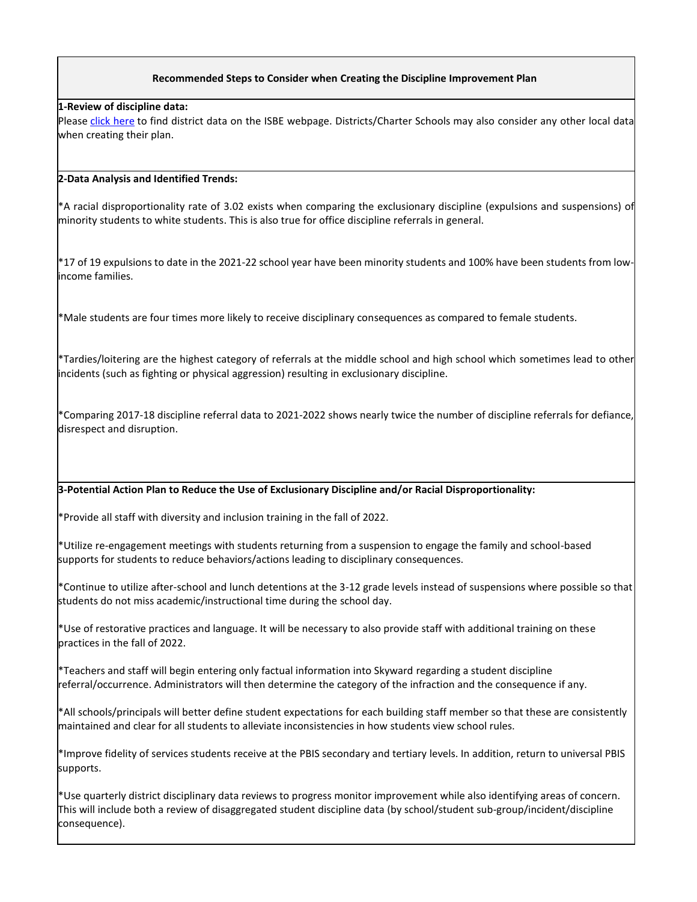## **Recommended Steps to Consider when Creating the Discipline Improvement Plan**

### **1-Review of discipline data:**

Please [click here](https://www.isbe.net/Pages/School-Discipline.aspx) to find district data on the ISBE webpage. Districts/Charter Schools may also consider any other local data when creating their plan.

#### **2-Data Analysis and Identified Trends:**

\*A racial disproportionality rate of 3.02 exists when comparing the exclusionary discipline (expulsions and suspensions) of minority students to white students. This is also true for office discipline referrals in general.

\*17 of 19 expulsions to date in the 2021-22 school year have been minority students and 100% have been students from lowincome families.

\*Male students are four times more likely to receive disciplinary consequences as compared to female students.

\*Tardies/loitering are the highest category of referrals at the middle school and high school which sometimes lead to other incidents (such as fighting or physical aggression) resulting in exclusionary discipline.

\*Comparing 2017-18 discipline referral data to 2021-2022 shows nearly twice the number of discipline referrals for defiance, disrespect and disruption.

#### **3-Potential Action Plan to Reduce the Use of Exclusionary Discipline and/or Racial Disproportionality:**

\*Provide all staff with diversity and inclusion training in the fall of 2022.

\*Utilize re-engagement meetings with students returning from a suspension to engage the family and school-based supports for students to reduce behaviors/actions leading to disciplinary consequences.

\*Continue to utilize after-school and lunch detentions at the 3-12 grade levels instead of suspensions where possible so that students do not miss academic/instructional time during the school day.

\*Use of restorative practices and language. It will be necessary to also provide staff with additional training on these practices in the fall of 2022.

\*Teachers and staff will begin entering only factual information into Skyward regarding a student discipline referral/occurrence. Administrators will then determine the category of the infraction and the consequence if any.

\*All schools/principals will better define student expectations for each building staff member so that these are consistently maintained and clear for all students to alleviate inconsistencies in how students view school rules.

\*Improve fidelity of services students receive at the PBIS secondary and tertiary levels. In addition, return to universal PBIS supports.

\*Use quarterly district disciplinary data reviews to progress monitor improvement while also identifying areas of concern. This will include both a review of disaggregated student discipline data (by school/student sub-group/incident/discipline consequence).